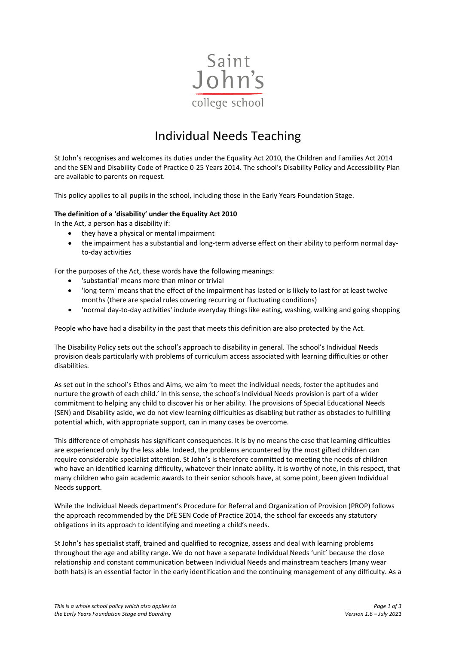

# Individual Needs Teaching

St John's recognises and welcomes its duties under the Equality Act 2010, the Children and Families Act 2014 and the SEN and Disability Code of Practice 0-25 Years 2014. The school's Disability Policy and Accessibility Plan are available to parents on request.

This policy applies to all pupils in the school, including those in the Early Years Foundation Stage.

# **The definition of a 'disability' under the Equality Act 2010**

In the Act, a person has a disability if:

- they have a physical or mental impairment
- the impairment has a substantial and long-term adverse effect on their ability to perform normal dayto-day activities

For the purposes of the Act, these words have the following meanings:

- 'substantial' means more than minor or trivial
- 'long-term' means that the effect of the impairment has lasted or is likely to last for at least twelve months (there are special rules covering recurring or fluctuating conditions)
- 'normal day-to-day activities' include everyday things like eating, washing, walking and going shopping

People who have had a disability in the past that meets this definition are also protected by the Act.

The Disability Policy sets out the school's approach to disability in general. The school's Individual Needs provision deals particularly with problems of curriculum access associated with learning difficulties or other disabilities.

As set out in the school's Ethos and Aims, we aim 'to meet the individual needs, foster the aptitudes and nurture the growth of each child.' In this sense, the school's Individual Needs provision is part of a wider commitment to helping any child to discover his or her ability. The provisions of Special Educational Needs (SEN) and Disability aside, we do not view learning difficulties as disabling but rather as obstacles to fulfilling potential which, with appropriate support, can in many cases be overcome.

This difference of emphasis has significant consequences. It is by no means the case that learning difficulties are experienced only by the less able. Indeed, the problems encountered by the most gifted children can require considerable specialist attention. St John's is therefore committed to meeting the needs of children who have an identified learning difficulty, whatever their innate ability. It is worthy of note, in this respect, that many children who gain academic awards to their senior schools have, at some point, been given Individual Needs support.

While the Individual Needs department's Procedure for Referral and Organization of Provision (PROP) follows the approach recommended by the DfE SEN Code of Practice 2014, the school far exceeds any statutory obligations in its approach to identifying and meeting a child's needs.

St John's has specialist staff, trained and qualified to recognize, assess and deal with learning problems throughout the age and ability range. We do not have a separate Individual Needs 'unit' because the close relationship and constant communication between Individual Needs and mainstream teachers (many wear both hats) is an essential factor in the early identification and the continuing management of any difficulty. As a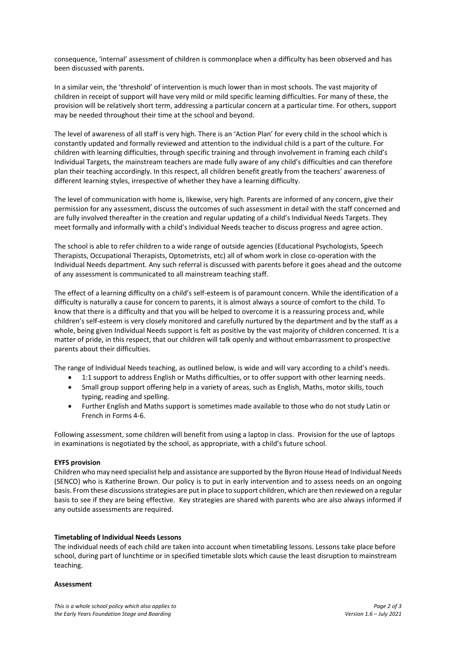consequence, 'internal' assessment of children is commonplace when a difficulty has been observed and has been discussed with parents.

In a similar vein, the 'threshold' of intervention is much lower than in most schools. The vast majority of children in receipt of support will have very mild or mild specific learning difficulties. For many of these, the provision will be relatively short term, addressing a particular concern at a particular time. For others, support may be needed throughout their time at the school and beyond.

The level of awareness of all staff is very high. There is an 'Action Plan' for every child in the school which is constantly updated and formally reviewed and attention to the individual child is a part of the culture. For children with learning difficulties, through specific training and through involvement in framing each child's Individual Targets, the mainstream teachers are made fully aware of any child's difficulties and can therefore plan their teaching accordingly. In this respect, all children benefit greatly from the teachers' awareness of different learning styles, irrespective of whether they have a learning difficulty.

The level of communication with home is, likewise, very high. Parents are informed of any concern, give their permission for any assessment, discuss the outcomes of such assessment in detail with the staff concerned and are fully involved thereafter in the creation and regular updating of a child's Individual Needs Targets. They meet formally and informally with a child's Individual Needs teacher to discuss progress and agree action.

The school is able to refer children to a wide range of outside agencies (Educational Psychologists, Speech Therapists, Occupational Therapists, Optometrists, etc) all of whom work in close co-operation with the Individual Needs department. Any such referral is discussed with parents before it goes ahead and the outcome of any assessment is communicated to all mainstream teaching staff.

The effect of a learning difficulty on a child's self-esteem is of paramount concern. While the identification of a difficulty is naturally a cause for concern to parents, it is almost always a source of comfort to the child. To know that there is a difficulty and that you will be helped to overcome it is a reassuring process and, while children's self-esteem is very closely monitored and carefully nurtured by the department and by the staff as a whole, being given Individual Needs support is felt as positive by the vast majority of children concerned. It is a matter of pride, in this respect, that our children will talk openly and without embarrassment to prospective parents about their difficulties.

The range of Individual Needs teaching, as outlined below, is wide and will vary according to a child's needs.

- 1:1 support to address English or Maths difficulties, or to offer support with other learning needs.
- Small group support offering help in a variety of areas, such as English, Maths, motor skills, touch typing, reading and spelling.
- Further English and Maths support is sometimes made available to those who do not study Latin or French in Forms 4-6.

Following assessment, some children will benefit from using a laptop in class. Provision for the use of laptops in examinations is negotiated by the school, as appropriate, with a child's future school.

### **EYFS provision**

Children who may need specialist help and assistance are supported by the Byron House Head of Individual Needs (SENCO) who is Katherine Brown. Our policy is to put in early intervention and to assess needs on an ongoing basis. From these discussions strategies are put in place to support children, which are then reviewed on a regular basis to see if they are being effective. Key strategies are shared with parents who are also always informed if any outside assessments are required.

### **Timetabling of Individual Needs Lessons**

The individual needs of each child are taken into account when timetabling lessons. Lessons take place before school, during part of lunchtime or in specified timetable slots which cause the least disruption to mainstream teaching.

### **Assessment**